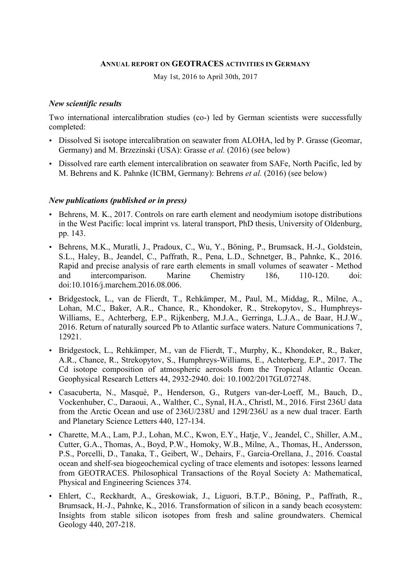#### **ANNUAL REPORT ON GEOTRACES ACTIVITIES IN GERMANY**

May 1st, 2016 to April 30th, 2017

#### *New scientific results*

Two international intercalibration studies (co-) led by German scientists were successfully completed:

- Dissolved Si isotope intercalibration on seawater from ALOHA, led by P. Grasse (Geomar, Germany) and M. Brzezinski (USA): Grasse *et al.* (2016) (see below)
- Dissolved rare earth element intercalibration on seawater from SAFe, North Pacific, led by M. Behrens and K. Pahnke (ICBM, Germany): Behrens *et al.* (2016) (see below)

#### *New publications (published or in press)*

- Behrens, M. K., 2017. Controls on rare earth element and neodymium isotope distributions in the West Pacific: local imprint vs. lateral transport, PhD thesis, University of Oldenburg, pp. 143.
- Behrens, M.K., Muratli, J., Pradoux, C., Wu, Y., Böning, P., Brumsack, H.-J., Goldstein, S.L., Haley, B., Jeandel, C., Paffrath, R., Pena, L.D., Schnetger, B., Pahnke, K., 2016. Rapid and precise analysis of rare earth elements in small volumes of seawater - Method and intercomparison. Marine Chemistry 186, 110-120. doi: doi:10.1016/j.marchem.2016.08.006.
- Bridgestock, L., van de Flierdt, T., Rehkämper, M., Paul, M., Middag, R., Milne, A., Lohan, M.C., Baker, A.R., Chance, R., Khondoker, R., Strekopytov, S., Humphreys-Williams, E., Achterberg, E.P., Rijkenberg, M.J.A., Gerringa, L.J.A., de Baar, H.J.W., 2016. Return of naturally sourced Pb to Atlantic surface waters. Nature Communications 7, 12921.
- Bridgestock, L., Rehkämper, M., van de Flierdt, T., Murphy, K., Khondoker, R., Baker, A.R., Chance, R., Strekopytov, S., Humphreys-Williams, E., Achterberg, E.P., 2017. The Cd isotope composition of atmospheric aerosols from the Tropical Atlantic Ocean. Geophysical Research Letters 44, 2932-2940. doi: 10.1002/2017GL072748.
- Casacuberta, N., Masqué, P., Henderson, G., Rutgers van-der-Loeff, M., Bauch, D., Vockenhuber, C., Daraoui, A., Walther, C., Synal, H.A., Christl, M., 2016. First 236U data from the Arctic Ocean and use of 236U/238U and 129I/236U as a new dual tracer. Earth and Planetary Science Letters 440, 127-134.
- Charette, M.A., Lam, P.J., Lohan, M.C., Kwon, E.Y., Hatje, V., Jeandel, C., Shiller, A.M., Cutter, G.A., Thomas, A., Boyd, P.W., Homoky, W.B., Milne, A., Thomas, H., Andersson, P.S., Porcelli, D., Tanaka, T., Geibert, W., Dehairs, F., Garcia-Orellana, J., 2016. Coastal ocean and shelf-sea biogeochemical cycling of trace elements and isotopes: lessons learned from GEOTRACES. Philosophical Transactions of the Royal Society A: Mathematical, Physical and Engineering Sciences 374.
- Ehlert, C., Reckhardt, A., Greskowiak, J., Liguori, B.T.P., Böning, P., Paffrath, R., Brumsack, H.-J., Pahnke, K., 2016. Transformation of silicon in a sandy beach ecosystem: Insights from stable silicon isotopes from fresh and saline groundwaters. Chemical Geology 440, 207-218.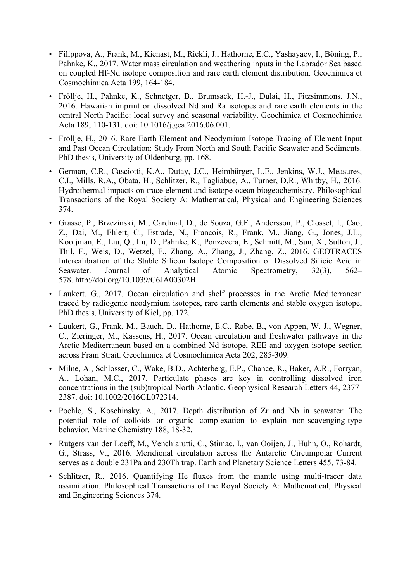- Filippova, A., Frank, M., Kienast, M., Rickli, J., Hathorne, E.C., Yashayaev, I., Böning, P., Pahnke, K., 2017. Water mass circulation and weathering inputs in the Labrador Sea based on coupled Hf-Nd isotope composition and rare earth element distribution. Geochimica et Cosmochimica Acta 199, 164-184.
- Fröllje, H., Pahnke, K., Schnetger, B., Brumsack, H.-J., Dulai, H., Fitzsimmons, J.N., 2016. Hawaiian imprint on dissolved Nd and Ra isotopes and rare earth elements in the central North Pacific: local survey and seasonal variability. Geochimica et Cosmochimica Acta 189, 110-131. doi: 10.1016/j.gca.2016.06.001.
- Fröllje, H., 2016. Rare Earth Element and Neodymium Isotope Tracing of Element Input and Past Ocean Circulation: Study From North and South Pacific Seawater and Sediments. PhD thesis, University of Oldenburg, pp. 168.
- German, C.R., Casciotti, K.A., Dutay, J.C., Heimbürger, L.E., Jenkins, W.J., Measures, C.I., Mills, R.A., Obata, H., Schlitzer, R., Tagliabue, A., Turner, D.R., Whitby, H., 2016. Hydrothermal impacts on trace element and isotope ocean biogeochemistry. Philosophical Transactions of the Royal Society A: Mathematical, Physical and Engineering Sciences 374.
- Grasse, P., Brzezinski, M., Cardinal, D., de Souza, G.F., Andersson, P., Closset, I., Cao, Z., Dai, M., Ehlert, C., Estrade, N., Francois, R., Frank, M., Jiang, G., Jones, J.L., Kooijman, E., Liu, Q., Lu, D., Pahnke, K., Ponzevera, E., Schmitt, M., Sun, X., Sutton, J., Thil, F., Weis, D., Wetzel, F., Zhang, A., Zhang, J., Zhang, Z., 2016. GEOTRACES Intercalibration of the Stable Silicon Isotope Composition of Dissolved Silicic Acid in Seawater. Journal of Analytical Atomic Spectrometry, 32(3), 562– 578. http://doi.org/10.1039/C6JA00302H.
- Laukert, G., 2017. Ocean circulation and shelf processes in the Arctic Mediterranean traced by radiogenic neodymium isotopes, rare earth elements and stable oxygen isotope, PhD thesis, University of Kiel, pp. 172.
- Laukert, G., Frank, M., Bauch, D., Hathorne, E.C., Rabe, B., von Appen, W.-J., Wegner, C., Zieringer, M., Kassens, H., 2017. Ocean circulation and freshwater pathways in the Arctic Mediterranean based on a combined Nd isotope, REE and oxygen isotope section across Fram Strait. Geochimica et Cosmochimica Acta 202, 285-309.
- Milne, A., Schlosser, C., Wake, B.D., Achterberg, E.P., Chance, R., Baker, A.R., Forryan, A., Lohan, M.C., 2017. Particulate phases are key in controlling dissolved iron concentrations in the (sub)tropical North Atlantic. Geophysical Research Letters 44, 2377- 2387. doi: 10.1002/2016GL072314.
- Poehle, S., Koschinsky, A., 2017. Depth distribution of Zr and Nb in seawater: The potential role of colloids or organic complexation to explain non-scavenging-type behavior. Marine Chemistry 188, 18-32.
- Rutgers van der Loeff, M., Venchiarutti, C., Stimac, I., van Ooijen, J., Huhn, O., Rohardt, G., Strass, V., 2016. Meridional circulation across the Antarctic Circumpolar Current serves as a double 231Pa and 230Th trap. Earth and Planetary Science Letters 455, 73-84.
- Schlitzer, R., 2016. Quantifying He fluxes from the mantle using multi-tracer data assimilation. Philosophical Transactions of the Royal Society A: Mathematical, Physical and Engineering Sciences 374.